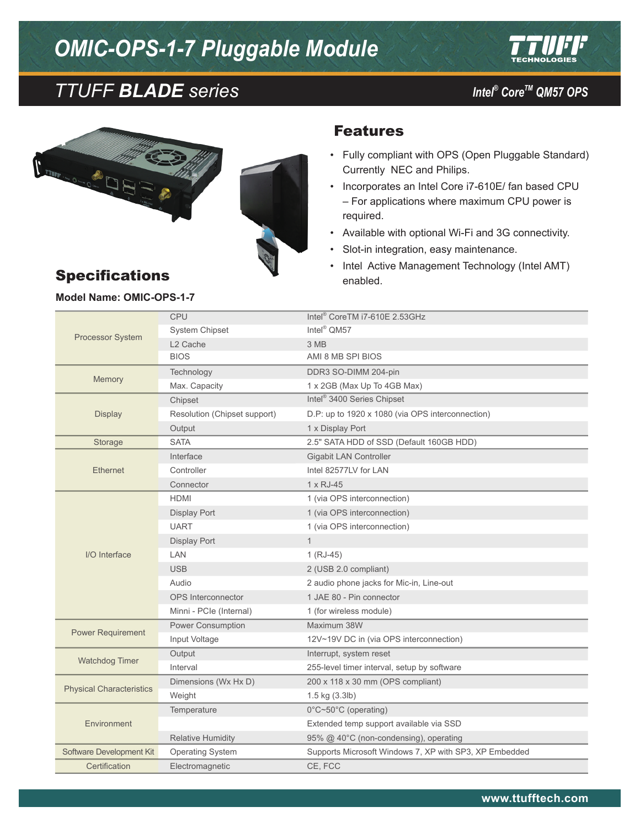# *OMIC-OPS-1-7 Pluggable Module*



## *CoreTM TTUFF BLADE series QM57 OPS*

*Intel®* Core™ QM57 OPS



### Features

- • Fully compliant with OPS (Open Pluggable Standard) Currently NEC and Philips.
- • Incorporates an Intel Core i7-610E/ fan based CPU – For applications where maximum CPU power is required.
- Available with optional Wi-Fi and 3G connectivity.
- Slot-in integration, easy maintenance.
- Intel Active Management Technology (Intel AMT) enabled.

#### Processor System CPU Intel® CoreTM i7-610E 2.53GHz System Chipset Intel<sup>®</sup> QM57 L2 Cache 3 MB BIOS AMI 8 MB SPI BIOS Memory Technology DDR3 SO-DIMM 204-pin<br>Max. Capacity 1 x 2GB (Max Up To 4GB 1 x 2GB (Max Up To 4GB Max) Display Chipset **Intel®** 3400 Series Chipset Resolution (Chipset support) D.P: up to 1920 x 1080 (via OPS interconnection) Output 1 x Display Port Storage SATA SATA 2.5" SATA HDD of SSD (Default 160GB HDD) Ethernet Interface Gigabit LAN Controller Controller Intel 82577LV for LAN Connector 1 x RJ-45 I/O Interface HDMI 1 (via OPS interconnection) Display Port 1 (via OPS interconnection) UART 1 (via OPS interconnection) Display Port 1 LAN 1 (RJ-45) USB 2.0 compliant) Audio 2 audio phone jacks for Mic-in, Line-out OPS Interconnector 1 JAE 80 - Pin connector Minni - PCIe (Internal) 1 (for wireless module) Power Requirement Power Consumption Maximum 38W Input Voltage 12V~19V DC in (via OPS interconnection) Watchdog Timer Cutput Cutput Cutput Interrupt, system reset<br>
Interval 255-level timer interval 255-level timer interval, setup by software Physical Characteristics Dimensions (Wx Hx D) 200 x 118 x 30 mm (OPS compliant) Weight 1.5 kg (3.3lb) Environment Temperature 0°C~50°C (operating) Extended temp support available via SSD Relative Humidity 95% @ 40°C (non-condensing), operating Software Development Kit Operating System Supports Microsoft Windows 7, XP with SP3, XP Embedded Certification Electromagnetic CE, FCC

### **Model Name: OMIC-OPS-1-7**

Specifications